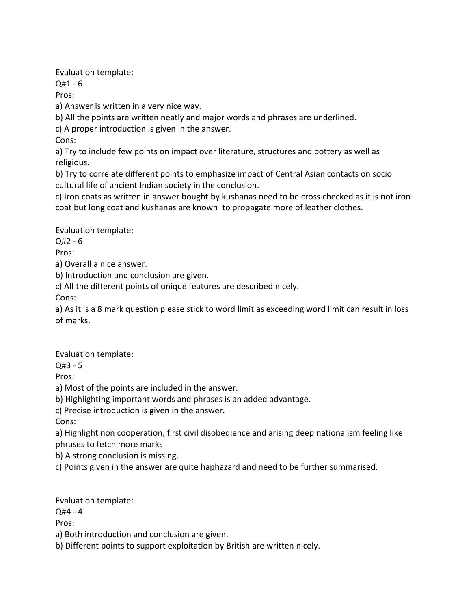Evaluation template:

Q#1 - 6

Pros:

a) Answer is written in a very nice way.

b) All the points are written neatly and major words and phrases are underlined.

c) A proper introduction is given in the answer.

Cons:

a) Try to include few points on impact over literature, structures and pottery as well as religious.

b) Try to correlate different points to emphasize impact of Central Asian contacts on socio cultural life of ancient Indian society in the conclusion.

c) Iron coats as written in answer bought by kushanas need to be cross checked as it is not iron coat but long coat and kushanas are known to propagate more of leather clothes.

Evaluation template:

Q#2 - 6

Pros:

a) Overall a nice answer.

b) Introduction and conclusion are given.

c) All the different points of unique features are described nicely.

Cons:

a) As it is a 8 mark question please stick to word limit as exceeding word limit can result in loss of marks.

Evaluation template:

Q#3 - 5

Pros:

a) Most of the points are included in the answer.

b) Highlighting important words and phrases is an added advantage.

c) Precise introduction is given in the answer.

Cons:

a) Highlight non cooperation, first civil disobedience and arising deep nationalism feeling like phrases to fetch more marks

b) A strong conclusion is missing.

c) Points given in the answer are quite haphazard and need to be further summarised.

Evaluation template:

Q#4 - 4

Pros:

a) Both introduction and conclusion are given.

b) Different points to support exploitation by British are written nicely.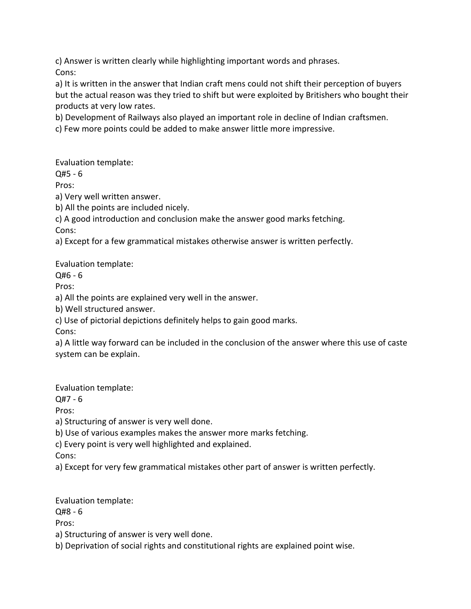c) Answer is written clearly while highlighting important words and phrases. Cons:

a) It is written in the answer that Indian craft mens could not shift their perception of buyers but the actual reason was they tried to shift but were exploited by Britishers who bought their products at very low rates.

b) Development of Railways also played an important role in decline of Indian craftsmen.

c) Few more points could be added to make answer little more impressive.

Evaluation template:

Q#5 - 6

Pros:

a) Very well written answer.

b) All the points are included nicely.

c) A good introduction and conclusion make the answer good marks fetching.

Cons:

a) Except for a few grammatical mistakes otherwise answer is written perfectly.

Evaluation template:

Q#6 - 6

Pros:

a) All the points are explained very well in the answer.

b) Well structured answer.

c) Use of pictorial depictions definitely helps to gain good marks.

Cons:

a) A little way forward can be included in the conclusion of the answer where this use of caste system can be explain.

Evaluation template:

Q#7 - 6

Pros:

a) Structuring of answer is very well done.

b) Use of various examples makes the answer more marks fetching.

c) Every point is very well highlighted and explained.

Cons:

a) Except for very few grammatical mistakes other part of answer is written perfectly.

Evaluation template:

Q#8 - 6

Pros:

a) Structuring of answer is very well done.

b) Deprivation of social rights and constitutional rights are explained point wise.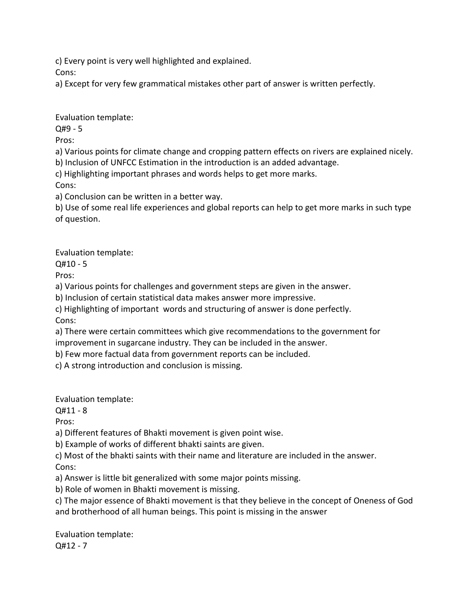c) Every point is very well highlighted and explained.

Cons:

a) Except for very few grammatical mistakes other part of answer is written perfectly.

Evaluation template:

Q#9 - 5

Pros:

a) Various points for climate change and cropping pattern effects on rivers are explained nicely.

b) Inclusion of UNFCC Estimation in the introduction is an added advantage.

c) Highlighting important phrases and words helps to get more marks.

Cons:

a) Conclusion can be written in a better way.

b) Use of some real life experiences and global reports can help to get more marks in such type of question.

Evaluation template:

Q#10 - 5

Pros:

a) Various points for challenges and government steps are given in the answer.

b) Inclusion of certain statistical data makes answer more impressive.

c) Highlighting of important words and structuring of answer is done perfectly. Cons:

a) There were certain committees which give recommendations to the government for improvement in sugarcane industry. They can be included in the answer.

b) Few more factual data from government reports can be included.

c) A strong introduction and conclusion is missing.

Evaluation template:

Q#11 - 8

Pros:

a) Different features of Bhakti movement is given point wise.

b) Example of works of different bhakti saints are given.

c) Most of the bhakti saints with their name and literature are included in the answer. Cons:

a) Answer is little bit generalized with some major points missing.

b) Role of women in Bhakti movement is missing.

c) The major essence of Bhakti movement is that they believe in the concept of Oneness of God and brotherhood of all human beings. This point is missing in the answer

Evaluation template: Q#12 - 7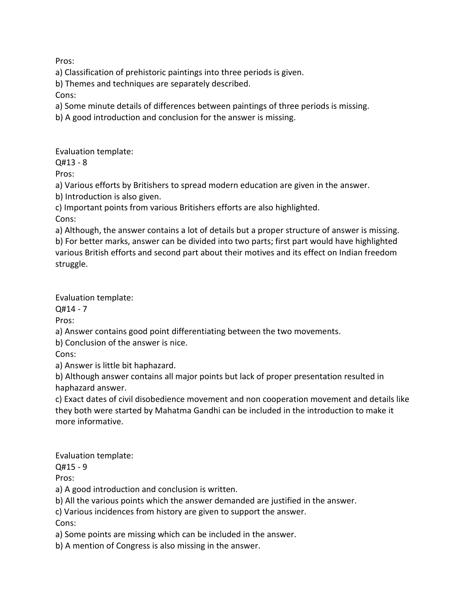Pros:

a) Classification of prehistoric paintings into three periods is given.

b) Themes and techniques are separately described.

Cons:

a) Some minute details of differences between paintings of three periods is missing.

b) A good introduction and conclusion for the answer is missing.

Evaluation template:

 $O#13 - 8$ 

Pros:

a) Various efforts by Britishers to spread modern education are given in the answer.

b) Introduction is also given.

c) Important points from various Britishers efforts are also highlighted.

Cons:

a) Although, the answer contains a lot of details but a proper structure of answer is missing. b) For better marks, answer can be divided into two parts; first part would have highlighted various British efforts and second part about their motives and its effect on Indian freedom struggle.

Evaluation template:

Q#14 - 7

Pros:

a) Answer contains good point differentiating between the two movements.

b) Conclusion of the answer is nice.

Cons:

a) Answer is little bit haphazard.

b) Although answer contains all major points but lack of proper presentation resulted in haphazard answer.

c) Exact dates of civil disobedience movement and non cooperation movement and details like they both were started by Mahatma Gandhi can be included in the introduction to make it more informative.

Evaluation template:

 $Q#15 - 9$ 

Pros:

a) A good introduction and conclusion is written.

b) All the various points which the answer demanded are justified in the answer.

c) Various incidences from history are given to support the answer.

Cons:

a) Some points are missing which can be included in the answer.

b) A mention of Congress is also missing in the answer.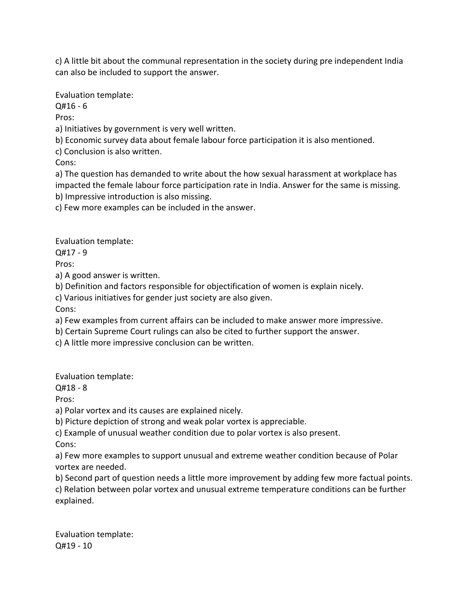c) A little bit about the communal representation in the society during pre independent India can also be included to support the answer.

Evaluation template:

Q#16 - 6

Pros:

a) Initiatives by government is very well written.

b) Economic survey data about female labour force participation it is also mentioned.

c) Conclusion is also written.

Cons:

a) The question has demanded to write about the how sexual harassment at workplace has impacted the female labour force participation rate in India. Answer for the same is missing.

b) Impressive introduction is also missing.

c) Few more examples can be included in the answer.

Evaluation template:

Q#17 - 9

Pros:

a) A good answer is written.

b) Definition and factors responsible for objectification of women is explain nicely.

c) Various initiatives for gender just society are also given.

Cons:

a) Few examples from current affairs can be included to make answer more impressive.

b) Certain Supreme Court rulings can also be cited to further support the answer.

c) A little more impressive conclusion can be written.

Evaluation template:

Q#18 - 8

Pros:

a) Polar vortex and its causes are explained nicely.

b) Picture depiction of strong and weak polar vortex is appreciable.

c) Example of unusual weather condition due to polar vortex is also present. Cons:

a) Few more examples to support unusual and extreme weather condition because of Polar vortex are needed.

b) Second part of question needs a little more improvement by adding few more factual points. c) Relation between polar vortex and unusual extreme temperature conditions can be further explained.

Evaluation template: Q#19 - 10